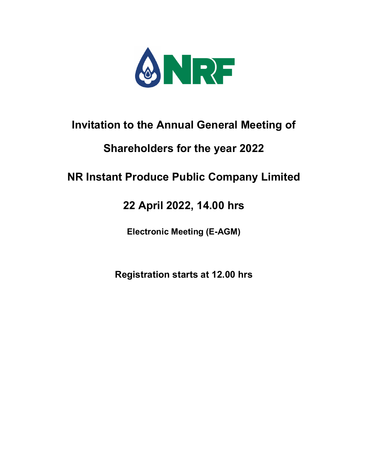

# **Invitation to the Annual General Meeting of**

# **Shareholders for the year 2022**

# **NR Instant Produce Public Company Limited**

# **22 April 2022, 14.00 hrs**

**Electronic Meeting (E-AGM)**

**Registration starts at 12.00hrs**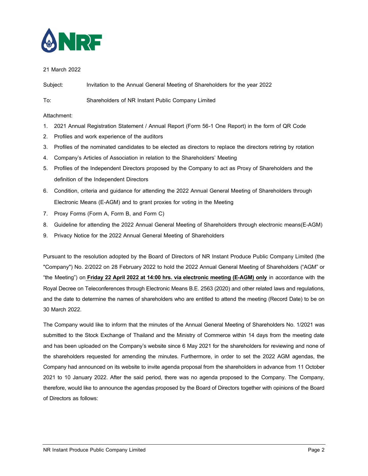

# 21 March 2022

Subject: Invitation to the Annual General Meeting of Shareholders for the year 2022

To: Shareholders of NR Instant Public Company Limited

Attachment:

- 1. 2021 Annual Registration Statement / Annual Report (Form 56-1 One Report) in the form of QR Code
- 2. Profiles and work experience of the auditors
- 3. Profiles of the nominated candidates to be elected as directors to replace the directors retiring by rotation
- 4. Company's Articles of Association in relation to the Shareholders' Meeting
- 5. Profiles of the Independent Directors proposed by the Company to act as Proxy of Shareholders and the definition of the Independent Directors
- 6. Condition, criteria and guidance for attending the 2022 Annual General Meeting of Shareholders through Electronic Means (E-AGM) and to grant proxies for voting in the Meeting
- 7. Proxy Forms (Form A, Form B, and Form C)
- 8. Guideline for attending the 2022 Annual General Meeting of Shareholders through electronic means(E-AGM)
- 9. Privacy Notice for the 2022 Annual General Meeting of Shareholders

Pursuant to the resolution adopted by the Board of Directors of NR Instant Produce Public Company Limited (the "Company") No. 2/2022 on 28 February 2022 to hold the 2022 Annual General Meeting of Shareholders ("AGM" or "the Meeting") on Friday 22 April 2022 at 14:00 hrs. via electronic meeting (E-AGM) only in accordance with the Royal Decree on Teleconferences through Electronic Means B.E. 2563 (2020) and other related laws and regulations, and the date to determine the names of shareholders who are entitled to attend the meeting (Record Date) to be on 30 March 2022.

The Company would like to inform that the minutes of the Annual General Meeting of Shareholders No. 1/2021 was submitted to the Stock Exchange of Thailand and the Ministry of Commerce within 14 days from the meeting date and has been uploaded on the Company's website since 6 May 2021 for the shareholders for reviewing and none of the shareholders requested for amending the minutes. Furthermore, in order to set the 2022 AGM agendas, the Company had announced on its website to invite agenda proposal from the shareholders in advance from 11 October 2021 to 10 January 2022. After the said period, there was no agenda proposed to the Company. The Company, therefore, would like to announce the agendas proposed by the Board of Directors together with opinions of the Board of Directors as follows: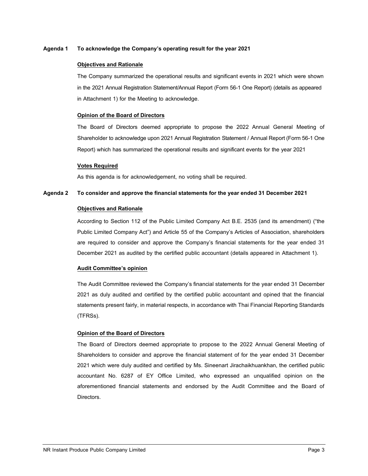## **Agenda 1 To acknowledge the Company's operating result for the year 2021**

# **Objectives and Rationale**

The Company summarized the operational results and significant events in 2021 which were shown in the 2021 Annual Registration Statement/Annual Report (Form 56-1 One Report) (details as appeared in Attachment 1) for the Meeting to acknowledge.

# **Opinion of the Board of Directors**

The Board of Directors deemed appropriate to propose the 2022 Annual General Meeting of Shareholder to acknowledge upon 2021 Annual Registration Statement / Annual Report (Form 56-1 One Report) which has summarized the operational results and significant events for the year 2021

# **Votes Required**

As this agenda is for acknowledgement, no voting shall be required.

# **Agenda 2 To consider and approve the financial statements for the year ended 31 December 2021**

# **Objectives and Rationale**

According to Section 112 of the Public Limited Company Act B.E. 2535 (and its amendment) ("the Public Limited Company Act") and Article 55 of the Company's Articles of Association, shareholders are required to consider and approve the Company's financial statements for the year ended 31 December 2021 as audited by the certified public accountant (details appeared in Attachment 1).

## **Audit Committee's opinion**

The Audit Committee reviewed the Company's financial statements for the year ended 31 December 2021 as duly audited and certified by the certified public accountant and opined that the financial statements present fairly, in material respects, in accordance with Thai Financial Reporting Standards (TFRSs).

# **Opinion of the Board of Directors**

The Board of Directors deemed appropriate to propose to the 2022 Annual General Meeting of Shareholders to consider and approve the financial statement of for the year ended 31 December 2021 which were duly audited and certified by Ms. Sineenart Jirachaikhuankhan, the certified public accountant No. 6287 of EY Office Limited, who expressed an unqualified opinion on the aforementioned financial statements and endorsed by the Audit Committee and the Board of Directors.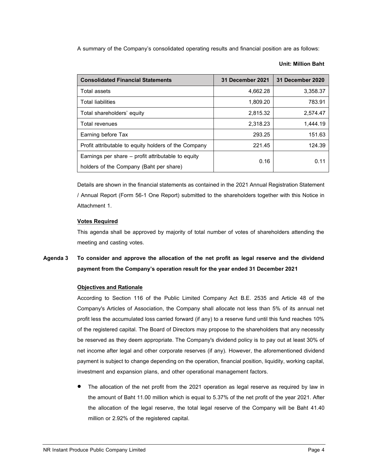A summary of the Company's consolidated operating results and financial position are as follows:

#### **Unit: Million Baht**

| <b>Consolidated Financial Statements</b>             | 31 December 2021 | 31 December 2020 |
|------------------------------------------------------|------------------|------------------|
| Total assets                                         | 4,662.28         | 3,358.37         |
| <b>Total liabilities</b>                             | 1.809.20         | 783.91           |
| Total shareholders' equity                           | 2,815.32         | 2,574.47         |
| Total revenues                                       | 2.318.23         | 1.444.19         |
| Earning before Tax                                   | 293.25           | 151.63           |
| Profit attributable to equity holders of the Company | 221.45           | 124.39           |
| Earnings per share – profit attributable to equity   | 0.16             | 0.11             |
| holders of the Company (Baht per share)              |                  |                  |

Details are shown in the financial statements as contained in the 2021 Annual Registration Statement / Annual Report (Form 56-1 One Report) submitted to the shareholders together with this Notice in Attachment 1.

# **Votes Required**

This agenda shall be approved by majority of total number of votes of shareholders attending the meeting and casting votes.

# **Agenda 3 To consider and approve the allocation of the net profit as legal reserve and the dividend payment from the Company's operation result for the year ended 31 December 2021**

## **Objectives and Rationale**

According to Section 116 of the Public Limited Company Act B.E. 2535 and Article 48 of the Company's Articles of Association, the Company shall allocate not less than 5% of its annual net profit less the accumulated loss carried forward (if any) to a reserve fund until this fund reaches 10% of the registered capital. The Board of Directors may propose to the shareholders that any necessity be reserved as they deem appropriate. The Company's dividend policy is to pay out at least 30% of net income after legal and other corporate reserves (if any). However, the aforementioned dividend payment is subject to change depending on the operation, financial position, liquidity, working capital, investment and expansion plans, and other operational management factors.

• The allocation of the net profit from the 2021 operation as legal reserve as required by law in the amount of Baht 11.00 million which is equal to 5.37% of the net profit of the year 2021. After the allocation of the legal reserve, the total legal reserve of the Company will be Baht 41.40 million or 2.92% of the registered capital.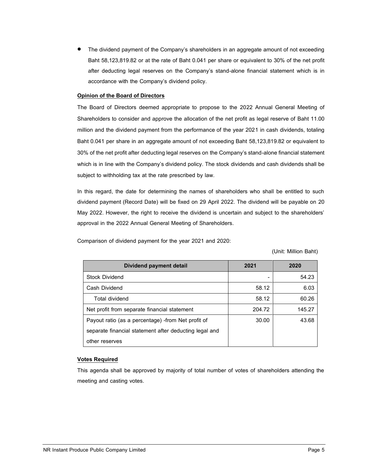• The dividend payment of the Company's shareholders in an aggregate amount of not exceeding Baht 58,123,819.82 or at the rate of Baht 0.041 per share or equivalent to 30% of the net profit after deducting legal reserves on the Company's stand-alone financial statement which is in accordance with the Company's dividend policy.

# **Opinion of the Board of Directors**

The Board of Directors deemed appropriate to propose to the 2022 Annual General Meeting of Shareholders to consider and approve the allocation of the net profit as legal reserve of Baht 11.00 million and the dividend payment from the performance of the year 2021 in cash dividends, totaling Baht 0.041 per share in an aggregate amount of not exceeding Baht 58,123,819.82 or equivalent to 30% of the net profit after deducting legal reserves on the Company's stand-alone financial statement which is in line with the Company's dividend policy. The stock dividends and cash dividends shall be subject to withholding tax at the rate prescribed by law.

In this regard, the date for determining the names of shareholders who shall be entitled to such dividend payment (Record Date) will be fixed on 29 April 2022. The dividend will be payable on 20 May 2022. However, the right to receive the dividend is uncertain and subject to the shareholders' approval in the 2022 Annual General Meeting of Shareholders.

Comparison of dividend payment for the year 2021 and 2020:

(Unit: Million Baht)

| <b>Dividend payment detail</b>                         | 2021   | 2020   |
|--------------------------------------------------------|--------|--------|
| <b>Stock Dividend</b>                                  | -      | 54.23  |
| Cash Dividend                                          | 58.12  | 6.03   |
| Total dividend                                         | 58.12  | 60.26  |
| Net profit from separate financial statement           | 204.72 | 145.27 |
| Payout ratio (as a percentage) - from Net profit of    | 30.00  | 43.68  |
| separate financial statement after deducting legal and |        |        |
| other reserves                                         |        |        |

# **Votes Required**

This agenda shall be approved by majority of total number of votes of shareholders attending the meeting and casting votes.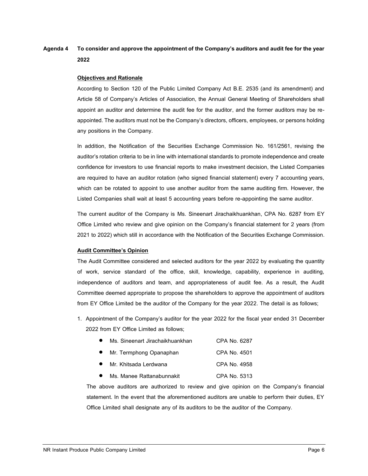# **Agenda 4 To consider and approve the appointment of the Company's auditors and audit fee for the year 2022**

#### **Objectives and Rationale**

According to Section 120 of the Public Limited Company Act B.E. 2535 (and its amendment) and Article 58 of Company's Articles of Association, the Annual General Meeting of Shareholders shall appoint an auditor and determine the audit fee for the auditor, and the former auditors may be reappointed. The auditors must not be the Company's directors, officers, employees, or persons holding any positions in the Company.

In addition, the Notification of the Securities Exchange Commission No. 161/2561, revising the auditor's rotation criteria to be in line with international standards to promote independence and create confidence for investors to use financial reports to make investment decision, the Listed Companies are required to have an auditor rotation (who signed financial statement) every 7 accounting years, which can be rotated to appoint to use another auditor from the same auditing firm. However, the Listed Companies shall wait at least 5 accounting years before re-appointing the same auditor.

The current auditor of the Company is Ms. Sineenart Jirachaikhuankhan, CPA No. 6287 from EY Office Limited who review and give opinion on the Company's financial statement for 2 years (from 2021 to 2022) which still in accordance with the Notification of the Securities Exchange Commission.

#### **Audit Committee's Opinion**

The Audit Committee considered and selected auditors for the year 2022 by evaluating the quantity of work, service standard of the office, skill, knowledge, capability, experience in auditing, independence of auditors and team, and appropriateness of audit fee. As a result, the Audit Committee deemed appropriate to propose the shareholders to approve the appointment of auditors from EY Office Limited be the auditor of the Company for the year 2022. The detail is as follows;

- 1. Appointment of the Company's auditor for the year 2022 for the fiscal year ended 31 December 2022 from EY Office Limited as follows;
	- Ms. Sineenart Jirachaikhuankhan CPA No. 6287
	- Mr. Termphong Opanaphan CPA No. 4501
	- Mr. Khitsada Lerdwana CPA No. 4958
	- Ms. Manee Rattanabunnakit CPA No. 5313

The above auditors are authorized to review and give opinion on the Company's financial statement. In the event that the aforementioned auditors are unable to perform their duties, EY Office Limited shall designate any of its auditors to be the auditor of the Company.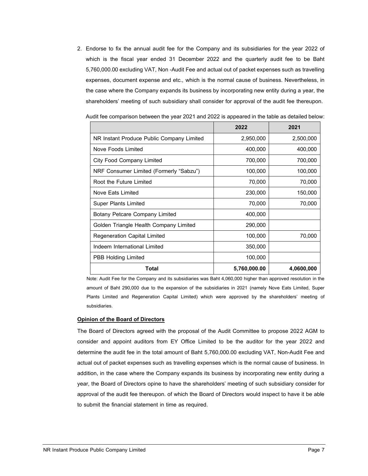2. Endorse to fix the annual audit fee for the Company and its subsidiaries for the year 2022 of which is the fiscal year ended 31 December 2022 and the quarterly audit fee to be Baht 5,760,000.00 excluding VAT, Non -Audit Fee and actual out of packet expenses such as travelling expenses, document expense and etc., which is the normal cause of business. Nevertheless, in the case where the Company expands its business by incorporating new entity during a year, the shareholders' meeting of such subsidiary shall consider for approval of the audit fee thereupon.

|                                           | 2022         | 2021       |
|-------------------------------------------|--------------|------------|
| NR Instant Produce Public Company Limited | 2,950,000    | 2,500,000  |
| Nove Foods Limited                        | 400,000      | 400,000    |
| City Food Company Limited                 | 700,000      | 700,000    |
| NRF Consumer Limited (Formerly "Sabzu")   | 100,000      | 100,000    |
| Root the Future Limited                   | 70,000       | 70,000     |
| Nove Eats Limited                         | 230,000      | 150,000    |
| <b>Super Plants Limited</b>               | 70,000       | 70,000     |
| Botany Petcare Company Limited            | 400,000      |            |
| Golden Triangle Health Company Limited    | 290,000      |            |
| <b>Regeneration Capital Limited</b>       | 100,000      | 70,000     |
| Indeem International Limited              | 350,000      |            |
| <b>PBB Holding Limited</b>                | 100,000      |            |
| Total                                     | 5,760,000.00 | 4,0600,000 |

Audit fee comparison between the year 2021 and 2022 is appeared in the table as detailed below:

Note: Audit Fee for the Company and its subsidiaries was Baht 4,060,000 higher than approved resolution in the amount of Baht 290,000 due to the expansion of the subsidiaries in 2021 (namely Nove Eats Limited, Super Plants Limited and Regeneration Capital Limited) which were approved by the shareholders' meeting of subsidiaries.

#### **Opinion of the Board of Directors**

The Board of Directors agreed with the proposal of the Audit Committee to propose 2022 AGM to consider and appoint auditors from EY Office Limited to be the auditor for the year 2022 and determine the audit fee in the total amount of Baht 5,760,000.00 excluding VAT, Non-Audit Fee and actual out of packet expenses such as travelling expenses which is the normal cause of business. In addition, in the case where the Company expands its business by incorporating new entity during a year, the Board of Directors opine to have the shareholders' meeting of such subsidiary consider for approval of the audit fee thereupon. of which the Board of Directors would inspect to have it be able to submit the financial statement in time as required.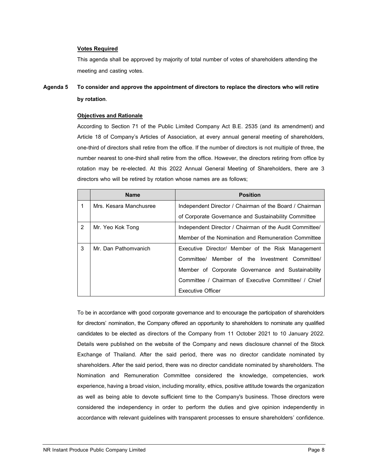# **Votes Required**

This agenda shall be approved by majority of total number of votes of shareholders attending the meeting and casting votes.

# **Agenda 5 To consider and approve the appointment of directors to replace the directors who will retire by rotation**.

# **Objectives and Rationale**

According to Section 71 of the Public Limited Company Act B.E. 2535 (and its amendment) and Article 18 of Company's Articles of Association, at every annual general meeting of shareholders, one-third of directors shall retire from the office. If the number of directors is not multiple of three, the number nearest to one-third shall retire from the office. However, the directors retiring from office by rotation may be re-elected. At this 2022 Annual General Meeting of Shareholders, there are 3 directors who will be retired by rotation whose names are as follows;

|                | <b>Name</b>            | <b>Position</b>                                         |
|----------------|------------------------|---------------------------------------------------------|
| 1              | Mrs. Kesara Manchusree | Independent Director / Chairman of the Board / Chairman |
|                |                        | of Corporate Governance and Sustainability Committee    |
| $\overline{2}$ | Mr. Yeo Kok Tong       | Independent Director / Chairman of the Audit Committee/ |
|                |                        | Member of the Nomination and Remuneration Committee     |
| 3              | Mr. Dan Pathomvanich   | Executive Director/ Member of the Risk Management       |
|                |                        | Committee/ Member of the Investment Committee/          |
|                |                        | Member of Corporate Governance and Sustainability       |
|                |                        | Committee / Chairman of Executive Committee/ / Chief    |
|                |                        | Executive Officer                                       |

To be in accordance with good corporate governance and to encourage the participation of shareholders for directors' nomination, the Company offered an opportunity to shareholders to nominate any qualified candidates to be elected as directors of the Company from 11 October 2021 to 10 January 2022. Details were published on the website of the Company and news disclosure channel of the Stock Exchange of Thailand. After the said period, there was no director candidate nominated by shareholders. After the said period, there was no director candidate nominated by shareholders. The Nomination and Remuneration Committee considered the knowledge, competencies, work experience, having a broad vision, including morality, ethics, positive attitude towards the organization as well as being able to devote sufficient time to the Company's business. Those directors were considered the independency in order to perform the duties and give opinion independently in accordance with relevant guidelines with transparent processes to ensure shareholders' confidence.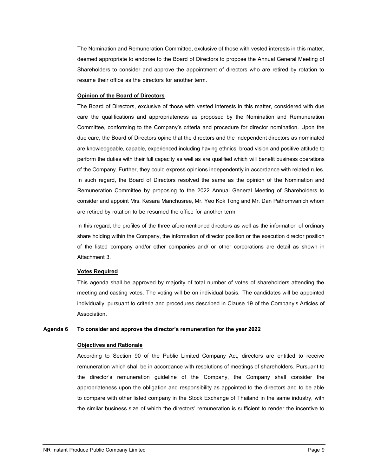The Nomination and Remuneration Committee, exclusive of those with vested interests in this matter, deemed appropriate to endorse to the Board of Directors to propose the Annual General Meeting of Shareholders to consider and approve the appointment of directors who are retired by rotation to resume their office as the directors for another term.

#### **Opinion of the Board of Directors**

The Board of Directors, exclusive of those with vested interests in this matter, considered with due care the qualifications and appropriateness as proposed by the Nomination and Remuneration Committee, conforming to the Company's criteria and procedure for director nomination. Upon the due care, the Board of Directors opine that the directors and the independent directors as nominated are knowledgeable, capable, experienced including having ethnics, broad vision and positive attitude to perform the duties with their full capacity as well as are qualified which will benefit business operations of the Company.Further, they could express opinions independently in accordance with related rules. In such regard, the Board of Directors resolved the same as the opinion of the Nomination and Remuneration Committee by proposing to the 2022 Annual General Meeting of Shareholders to consider and appoint Mrs. Kesara Manchusree, Mr. Yeo Kok Tong and Mr. Dan Pathomvanich whom are retired by rotation to be resumed the office for another term

In this regard, the profiles of the three aforementioned directors as well as the information of ordinary share holding within the Company, the information of director position or the execution director position of the listed company and/or other companies and/ or other corporations are detail as shown in Attachment 3.

#### **Votes Required**

This agenda shall be approved by majority of total number of votes of shareholders attending the meeting and casting votes. The voting will be on individual basis. The candidates will be appointed individually, pursuant to criteria and procedures described in Clause 19 of the Company's Articles of Association.

#### **Agenda 6 To consider and approve the director's remuneration for the year 2022**

## **Objectives and Rationale**

According to Section 90 of the Public Limited Company Act, directors are entitled to receive remuneration which shall be in accordance with resolutions of meetings of shareholders. Pursuant to the director's remuneration guideline of the Company, the Company shall consider the appropriateness upon the obligation and responsibility as appointed to the directors and to be able to compare with other listed company in the Stock Exchange of Thailand in the same industry, with the similar business size of which the directors' remuneration is sufficient to render the incentive to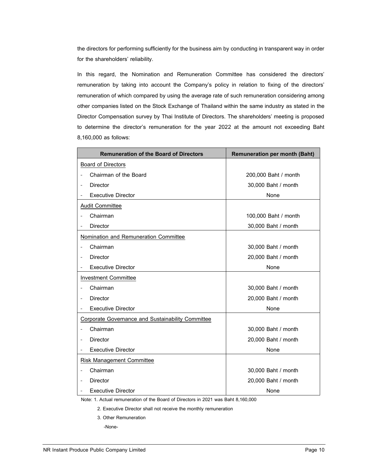the directors for performing sufficiently for the business aim by conducting in transparent way in order for the shareholders' reliability.

In this regard, the Nomination and Remuneration Committee has considered the directors' remuneration by taking into account the Company's policy in relation to fixing of the directors' remuneration of which compared by using the average rate of such remuneration considering among other companies listed on the Stock Exchange of Thailand within the same industry as stated in the Director Compensation survey by Thai Institute of Directors. The shareholders' meeting is proposed to determine the director's remuneration for the year 2022 at the amount not exceeding Baht 8,160,000 as follows:

| <b>Remuneration of the Board of Directors</b>            | <b>Remuneration per month (Baht)</b> |
|----------------------------------------------------------|--------------------------------------|
| <b>Board of Directors</b>                                |                                      |
| Chairman of the Board                                    | 200,000 Baht / month                 |
| <b>Director</b>                                          | 30,000 Baht / month                  |
| <b>Executive Director</b>                                | None                                 |
| <b>Audit Committee</b>                                   |                                      |
| Chairman                                                 | 100,000 Baht / month                 |
| <b>Director</b>                                          | 30,000 Baht / month                  |
| Nomination and Remuneration Committee                    |                                      |
| Chairman                                                 | 30,000 Baht / month                  |
| <b>Director</b>                                          | 20,000 Baht / month                  |
| <b>Executive Director</b>                                | None                                 |
| Investment Committee                                     |                                      |
| Chairman                                                 | 30,000 Baht / month                  |
| <b>Director</b>                                          | 20,000 Baht / month                  |
| <b>Executive Director</b><br>$\qquad \qquad -$           | None                                 |
| <b>Corporate Governance and Sustainability Committee</b> |                                      |
| Chairman                                                 | 30,000 Baht / month                  |
| <b>Director</b>                                          | 20,000 Baht / month                  |
| <b>Executive Director</b>                                | None                                 |
| <b>Risk Management Committee</b>                         |                                      |
| Chairman                                                 | 30,000 Baht / month                  |
| <b>Director</b>                                          | 20,000 Baht / month                  |
| <b>Executive Director</b>                                | None                                 |

Note: 1. Actual remuneration of the Board of Directors in 2021 was Baht 8,160,000

2. Executive Director shall not receive the monthly remuneration

3. Other Remuneration

-None-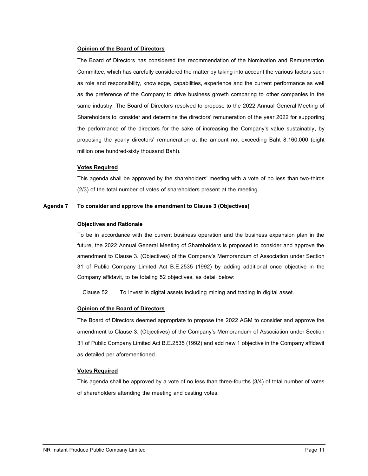### **Opinion of the Board of Directors**

The Board of Directors has considered the recommendation of the Nomination and Remuneration Committee, which has carefully considered the matter by taking into account the various factors such as role and responsibility, knowledge, capabilities, experience and the current performance as well as the preference of the Company to drive business growth comparing to other companies in the same industry. The Board of Directors resolved to propose to the 2022 Annual General Meeting of Shareholders to consider and determine the directors' remuneration of the year 2022 for supporting the performance of the directors for the sake of increasing the Company's value sustainably, by proposing the yearly directors' remuneration at the amount not exceeding Baht 8,160,000 (eight million one hundred-sixty thousand Baht).

#### **Votes Required**

This agenda shall be approved by the shareholders' meeting with a vote of no less than two-thirds (2/3) of the total number of votes of shareholders present at the meeting.

#### **Agenda 7 To consider and approve the amendment to Clause 3 (Objectives)**

#### **Objectives and Rationale**

To be in accordance with the current business operation and the business expansion plan in the future, the 2022 Annual General Meeting of Shareholders is proposed to consider and approve the amendment to Clause 3. (Objectives) of the Company's Memorandum of Association under Section 31 of Public Company Limited Act B.E.2535 (1992) by adding additional once objective in the Company affidavit, to be totaling 52 objectives, as detail below:

Clause 52 To invest in digital assets including mining and trading in digital asset.

# **Opinion of the Board of Directors**

The Board of Directors deemed appropriate to propose the 2022 AGM to consider and approve the amendment to Clause 3. (Objectives) of the Company's Memorandum of Association under Section 31 of Public Company Limited Act B.E.2535 (1992) and add new 1 objective in the Company affidavit as detailed per aforementioned.

#### **Votes Required**

This agenda shall be approved by a vote of no less than three-fourths (3/4) of total number of votes of shareholders attending the meeting and casting votes.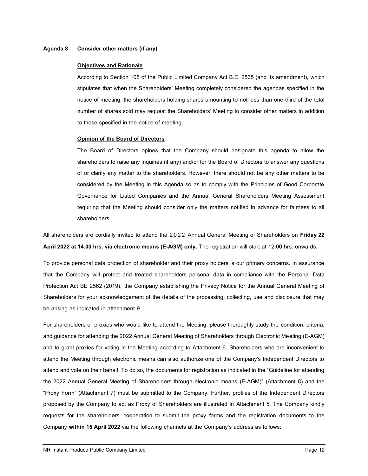#### **Agenda 8 Consider other matters (if any)**

#### **Objectives and Rationale**

According to Section 105 of the Public Limited Company Act B.E. 2535 (and its amendment), which stipulates that when the Shareholders' Meeting completely considered the agendas specified in the notice of meeting, the shareholders holding shares amounting to not less than one-third of the total number of shares sold may request the Shareholders' Meeting to consider other matters in addition to those specified in the notice of meeting.

#### **Opinion of the Board of Directors**

The Board of Directors opines that the Company should designate this agenda to allow the shareholders to raise any inquiries (if any) and/or for the Board of Directors to answer any questions of or clarify any matter to the shareholders. However, there should not be any other matters to be considered by the Meeting in this Agenda so as to comply with the Principles of Good Corporate Governance for Listed Companies and the Annual General Shareholders Meeting Assessment requiring that the Meeting should consider only the matters notified in advance for fairness to all shareholders.

All shareholders are cordially invited to attend the 2022 Annual General Meeting of Shareholders on **Friday 22 April 2022 at 14.00 hrs. via electronic means (E-AGM) only.** The registration will start at 12.00 hrs. onwards.

To provide personal data protection of shareholder and their proxy holders is our primary concerns. In assurance that the Company will protect and treated shareholders personal data in compliance with the Personal Data Protection Act BE 2562 (2019), the Company establishing the Privacy Notice for the Annual General Meeting of Shareholders for your acknowledgement of the details of the processing, collecting, use and disclosure that may be arising as indicated in attachment 9.

For shareholders or proxies who would like to attend the Meeting, please thoroughly study the condition, criteria, and guidance for attending the 2022 Annual General Meeting of Shareholders through Electronic Meeting (E-AGM) and to grant proxies for voting in the Meeting according to Attachment 6. Shareholders who are inconvenient to attend the Meeting through electronic means can also authorize one of the Company's Independent Directors to attend and vote on their behalf. To do so, the documents for registration as indicated in the "Guideline for attending the 2022 Annual General Meeting of Shareholders through electronic means (E-AGM)" (Attachment 8) and the "Proxy Form" (Attachment 7) must be submitted to the Company. Further, profiles of the Independent Directors proposed by the Company to act as Proxy of Shareholders are illustrated in Attachment 5. The Company kindly requests for the shareholders' cooperation to submit the proxy forms and the registration documents to the Company **within 15 April 2022** via the following channels at the Company's address as follows: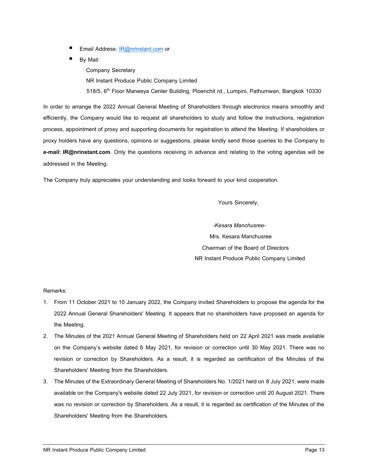- Email Address: **[IR@nrinstant.com](mailto:IR@nrinstant.com)** or
- By Mail:

Company Secretary

NR Instant Produce Public Company Limited

518/5, 6<sup>th</sup> Floor Maneeya Center Building, Ploenchit rd., Lumpini, Pathumwan, Bangkok 10330

In order to arrange the 2022 Annual General Meeting of Shareholders through electronics means smoothly and efficiently, the Company would like to request all shareholders to study and follow the instructions, registration process, appointment of proxy and supporting documents for registration to attend the Meeting. If shareholders or proxy holders have any questions, opinions or suggestions, please kindly send those queries to the Company to **e-mail: IR@nrinstant.com**. Only the questions receiving in advance and relating to the voting agendas will be addressed in the Meeting.

The Company truly appreciates your understanding and looks forward to your kind cooperation.

Yours Sincerely,

 *-Kesara Manchusree-* Mrs. Kesara Manchusree Chairman of the Board of Directors NR Instant Produce Public Company Limited

## Remarks:

- 1. From 11 October 2021 to 10 January 2022, the Company invited Shareholders to propose the agenda for the 2022 Annual General Shareholders' Meeting. It appears that no shareholders have proposed an agenda for the Meeting.
- 2. The Minutes of the 2021 Annual General Meeting of Shareholders held on 22 April 2021 was made available on the Company's website dated 6 May 2021, for revision or correction until 30 May 2021. There was no revision or correction by Shareholders. As a result, it is regarded as certification of the Minutes of the Shareholders' Meeting from the Shareholders.
- 3. The Minutes of the Extraordinary General Meeting of Shareholders No. 1/2021 held on 8 July 2021, were made available on the Company's website dated 22 July 2021, for revision or correction until 20 August 2021. There was no revision or correction by Shareholders. As a result, it is regarded as certification of the Minutes of the Shareholders' Meeting from the Shareholders.